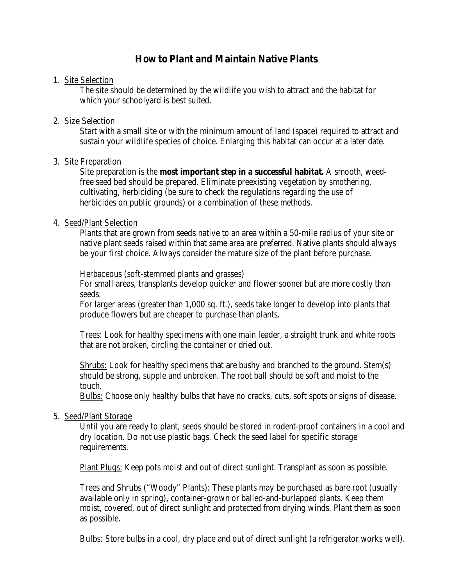# **How to Plant and Maintain Native Plants**

#### 1. Site Selection

The site should be determined by the wildlife you wish to attract and the habitat for which your schoolyard is best suited.

### 2. Size Selection

Start with a small site or with the minimum amount of land (space) required to attract and sustain your wildlife species of choice. Enlarging this habitat can occur at a later date.

### 3. Site Preparation

Site preparation is the **most important step in a successful habitat.** A smooth, weedfree seed bed should be prepared. Eliminate preexisting vegetation by smothering, cultivating, herbiciding (be sure to check the regulations regarding the use of herbicides on public grounds) or a combination of these methods.

### 4. Seed/Plant Selection

Plants that are grown from seeds native to an area within a 50-mile radius of your site or native plant seeds raised within that same area are preferred. Native plants should always be your first choice. Always consider the mature size of the plant before purchase.

#### Herbaceous (soft-stemmed plants and grasses)

For small areas, transplants develop quicker and flower sooner but are more costly than seeds.

For larger areas (greater than 1,000 sq. ft.), seeds take longer to develop into plants that produce flowers but are cheaper to purchase than plants.

Trees: Look for healthy specimens with one main leader, a straight trunk and white roots that are not broken, circling the container or dried out.

Shrubs: Look for healthy specimens that are bushy and branched to the ground. Stem(s) should be strong, supple and unbroken. The root ball should be soft and moist to the touch.

Bulbs: Choose only healthy bulbs that have no cracks, cuts, soft spots or signs of disease.

### 5. Seed/Plant Storage

Until you are ready to plant, seeds should be stored in rodent-proof containers in a cool and dry location. Do not use plastic bags. Check the seed label for specific storage requirements.

Plant Plugs: Keep pots moist and out of direct sunlight. Transplant as soon as possible.

Trees and Shrubs ("Woody" Plants): These plants may be purchased as bare root (usually available only in spring), container-grown or balled-and-burlapped plants. Keep them moist, covered, out of direct sunlight and protected from drying winds. Plant them as soon as possible.

Bulbs: Store bulbs in a cool, dry place and out of direct sunlight (a refrigerator works well).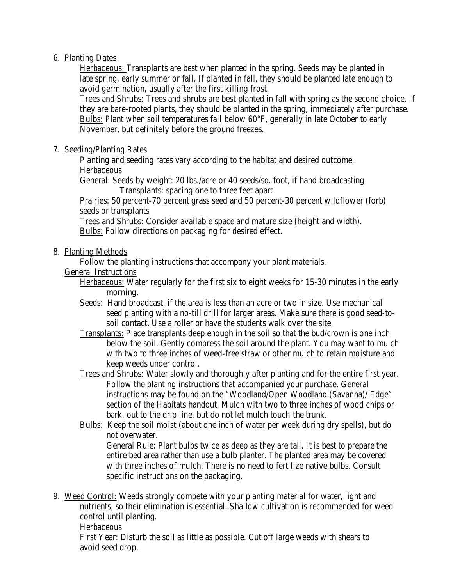# 6. Planting Dates

Herbaceous: Transplants are best when planted in the spring. Seeds may be planted in late spring, early summer or fall. If planted in fall, they should be planted late enough to avoid germination, usually after the first killing frost.

Trees and Shrubs: Trees and shrubs are best planted in fall with spring as the second choice. If they are bare-rooted plants, they should be planted in the spring, immediately after purchase. Bulbs: Plant when soil temperatures fall below 60°F, generally in late October to early November, but definitely before the ground freezes.

# 7. Seeding/Planting Rates

Planting and seeding rates vary according to the habitat and desired outcome.

Herbaceous

General: Seeds by weight: 20 lbs./acre or 40 seeds/sq. foot, if hand broadcasting Transplants: spacing one to three feet apart

Prairies: 50 percent-70 percent grass seed and 50 percent-30 percent wildflower (forb) seeds or transplants

Trees and Shrubs: Consider available space and mature size (height and width). Bulbs: Follow directions on packaging for desired effect.

### 8. Planting Methods

Follow the planting instructions that accompany your plant materials.

# General Instructions

Herbaceous: Water regularly for the first six to eight weeks for 15-30 minutes in the early morning.

- Seeds: Hand broadcast, if the area is less than an acre or two in size. Use mechanical seed planting with a no-till drill for larger areas. Make sure there is good seed-tosoil contact. Use a roller or have the students walk over the site.
- Transplants: Place transplants deep enough in the soil so that the bud/crown is one inch below the soil. Gently compress the soil around the plant. You may want to mulch with two to three inches of weed-free straw or other mulch to retain moisture and keep weeds under control.

Trees and Shrubs: Water slowly and thoroughly after planting and for the entire first year. Follow the planting instructions that accompanied your purchase. General instructions may be found on the "Woodland/Open Woodland (Savanna)/ Edge" section of the Habitats handout. Mulch with two to three inches of wood chips or bark, out to the drip line, but do not let mulch touch the trunk.

Bulbs: Keep the soil moist (about one inch of water per week during dry spells), but do not overwater.

General Rule: Plant bulbs twice as deep as they are tall. It is best to prepare the entire bed area rather than use a bulb planter. The planted area may be covered with three inches of mulch. There is no need to fertilize native bulbs. Consult specific instructions on the packaging.

9. Weed Control: Weeds strongly compete with your planting material for water, light and nutrients, so their elimination is essential. Shallow cultivation is recommended for weed control until planting.

### **Herbaceous**

First Year: Disturb the soil as little as possible. Cut off large weeds with shears to avoid seed drop.